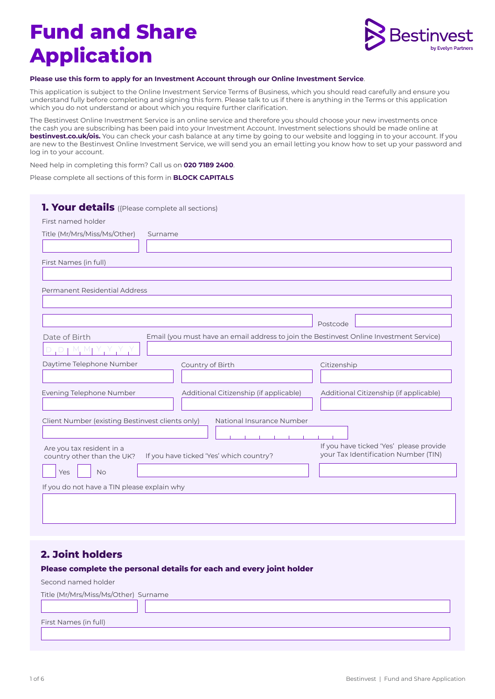# **Fund and Share Application**



#### **Please use this form to apply for an Investment Account through our Online Investment Service**.

This application is subject to the Online Investment Service Terms of Business, which you should read carefully and ensure you understand fully before completing and signing this form. Please talk to us if there is anything in the Terms or this application which you do not understand or about which you require further clarification.

The Bestinvest Online Investment Service is an online service and therefore you should choose your new investments once the cash you are subscribing has been paid into your Investment Account. Investment selections should be made online at **[bestinvest.co.uk/ois.](http://bestinvest.co.uk/ois)** You can check your cash balance at any time by going to our website and logging in to your account. If you are new to the Bestinvest Online Investment Service, we will send you an email letting you know how to set up your password and log in to your account.

Need help in completing this form? Call us on **020 7189 2400**.

Please complete all sections of this form in **BLOCK CAPITALS** 

| <b>1. Your details</b> ({Please complete all sections)  |                                                                                         |                                                                                 |
|---------------------------------------------------------|-----------------------------------------------------------------------------------------|---------------------------------------------------------------------------------|
| First named holder                                      |                                                                                         |                                                                                 |
| Title (Mr/Mrs/Miss/Ms/Other)                            | Surname                                                                                 |                                                                                 |
|                                                         |                                                                                         |                                                                                 |
| First Names (in full)                                   |                                                                                         |                                                                                 |
|                                                         |                                                                                         |                                                                                 |
| Permanent Residential Address                           |                                                                                         |                                                                                 |
|                                                         |                                                                                         |                                                                                 |
|                                                         |                                                                                         |                                                                                 |
|                                                         | Email (you must have an email address to join the Bestinvest Online Investment Service) | Postcode                                                                        |
| Date of Birth<br>$D \upharpoonright M_i M$              |                                                                                         |                                                                                 |
| Daytime Telephone Number                                | Country of Birth                                                                        | Citizenship                                                                     |
|                                                         |                                                                                         |                                                                                 |
| Evening Telephone Number                                | Additional Citizenship (if applicable)                                                  | Additional Citizenship (if applicable)                                          |
|                                                         |                                                                                         |                                                                                 |
| Client Number (existing Bestinvest clients only)        | National Insurance Number                                                               |                                                                                 |
|                                                         |                                                                                         |                                                                                 |
| Are you tax resident in a<br>country other than the UK? | If you have ticked 'Yes' which country?                                                 | If you have ticked 'Yes' please provide<br>your Tax Identification Number (TIN) |
| <b>No</b><br>Yes                                        |                                                                                         |                                                                                 |
| If you do not have a TIN please explain why             |                                                                                         |                                                                                 |
|                                                         |                                                                                         |                                                                                 |
|                                                         |                                                                                         |                                                                                 |
|                                                         |                                                                                         |                                                                                 |

#### **2. Joint holders**

#### **Please complete the personal details for each and every joint holder**

Second named holder

| Title (Mr/Mrs/Miss/Ms/Other) Surname |  |  |  |  |
|--------------------------------------|--|--|--|--|
|                                      |  |  |  |  |
| First Names (in full)                |  |  |  |  |
|                                      |  |  |  |  |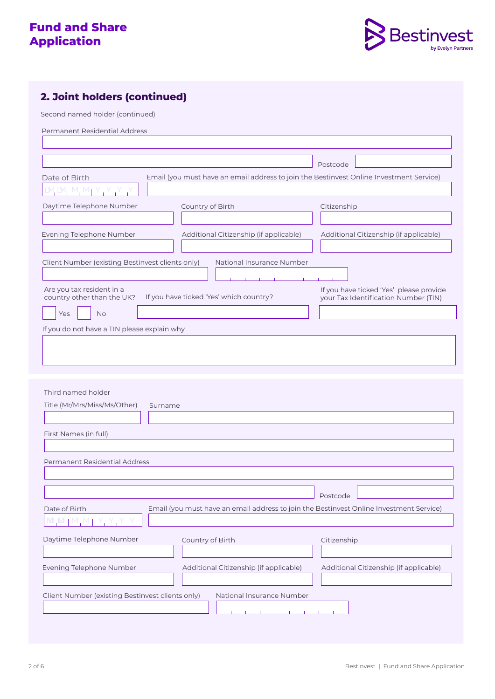

### **2. Joint holders (continued)**

Second named holder (continued)

Permanent Residential Address

| Date of Birth<br>$M_1$ M, M <sub>1</sub><br>$\mathbb{N}$                                           | Email (you must have an email address to join the Bestinvest Online Investment Service) | Postcode                               |  |  |  |
|----------------------------------------------------------------------------------------------------|-----------------------------------------------------------------------------------------|----------------------------------------|--|--|--|
| Daytime Telephone Number                                                                           | Country of Birth                                                                        | Citizenship                            |  |  |  |
|                                                                                                    |                                                                                         |                                        |  |  |  |
| Evening Telephone Number                                                                           | Additional Citizenship (if applicable)                                                  | Additional Citizenship (if applicable) |  |  |  |
| Client Number (existing Bestinvest clients only)<br>National Insurance Number                      |                                                                                         |                                        |  |  |  |
| Are you tax resident in a<br>If you have ticked 'Yes' which country?<br>country other than the UK? | If you have ticked 'Yes' please provide<br>your Tax Identification Number (TIN)         |                                        |  |  |  |
| <b>No</b><br>Yes                                                                                   |                                                                                         |                                        |  |  |  |
| If you do not have a TIN please explain why                                                        |                                                                                         |                                        |  |  |  |
|                                                                                                    |                                                                                         |                                        |  |  |  |
|                                                                                                    |                                                                                         |                                        |  |  |  |
|                                                                                                    |                                                                                         |                                        |  |  |  |

| Third named holder                                                                                                                                                                                                   |                                                                                         |                                        |
|----------------------------------------------------------------------------------------------------------------------------------------------------------------------------------------------------------------------|-----------------------------------------------------------------------------------------|----------------------------------------|
| Title (Mr/Mrs/Miss/Ms/Other)                                                                                                                                                                                         | Surname                                                                                 |                                        |
|                                                                                                                                                                                                                      |                                                                                         |                                        |
|                                                                                                                                                                                                                      |                                                                                         |                                        |
| First Names (in full)                                                                                                                                                                                                |                                                                                         |                                        |
|                                                                                                                                                                                                                      |                                                                                         |                                        |
| Permanent Residential Address                                                                                                                                                                                        |                                                                                         |                                        |
|                                                                                                                                                                                                                      |                                                                                         |                                        |
|                                                                                                                                                                                                                      |                                                                                         |                                        |
|                                                                                                                                                                                                                      |                                                                                         | Postcode                               |
| Date of Birth                                                                                                                                                                                                        | Email (you must have an email address to join the Bestinvest Online Investment Service) |                                        |
| $\begin{array}{c} \mathsf{M} \mathsf{D}, \mathsf{M} \mathsf{D} \mathsf{M} \end{array} \begin{array}{c} \mathsf{M}, \mathsf{M} \mathsf{M} \end{array} \begin{array}{c} \mathsf{M}, \mathsf{M} \mathsf{M} \end{array}$ |                                                                                         |                                        |
| Daytime Telephone Number                                                                                                                                                                                             | Country of Birth                                                                        | Citizenship                            |
|                                                                                                                                                                                                                      |                                                                                         |                                        |
| Evening Telephone Number                                                                                                                                                                                             | Additional Citizenship (if applicable)                                                  | Additional Citizenship (if applicable) |
|                                                                                                                                                                                                                      |                                                                                         |                                        |
| Client Number (existing Bestinvest clients only)                                                                                                                                                                     | National Insurance Number                                                               |                                        |
|                                                                                                                                                                                                                      | the contract of the contract of                                                         |                                        |
|                                                                                                                                                                                                                      |                                                                                         |                                        |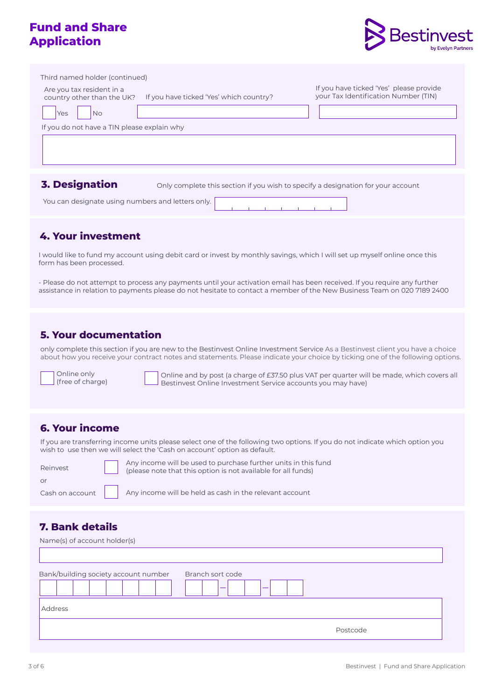### **Fund and Share Application**



| Third named holder (continued)                          |                                                                                  |                                                                                 |
|---------------------------------------------------------|----------------------------------------------------------------------------------|---------------------------------------------------------------------------------|
| Are you tax resident in a<br>country other than the UK? | If you have ticked 'Yes' which country?                                          | If you have ticked 'Yes' please provide<br>your Tax Identification Number (TIN) |
| No<br>Yes                                               |                                                                                  |                                                                                 |
| If you do not have a TIN please explain why             |                                                                                  |                                                                                 |
|                                                         |                                                                                  |                                                                                 |
|                                                         |                                                                                  |                                                                                 |
|                                                         |                                                                                  |                                                                                 |
| <b>3. Designation</b>                                   | Only complete this section if you wish to specify a designation for your account |                                                                                 |

You can designate using numbers and letters only.

#### **4. Your investment**

I would like to fund my account using debit card or invest by monthly savings, which I will set up myself online once this form has been processed.

- Please do not attempt to process any payments until your activation email has been received. If you require any further assistance in relation to payments please do not hesitate to contact a member of the New Business Team on 020 7189 2400

#### **5. Your documentation**

only complete this section if you are new to the Bestinvest Online Investment Service As a Bestinvest client you have a choice about how you receive your contract notes and statements. Please indicate your choice by ticking one of the following options.

Online only (free of charge)

Online and by post (a charge of £37.50 plus VAT per quarter will be made, which covers all Bestinvest Online Investment Service accounts you may have)

#### **6. Your income**

If you are transferring income units please select one of the following two options. If you do not indicate which option you wish to use then we will select the 'Cash on account' option as default.

| Reinvest   | Any income will be used to purchase further units in this fund<br>(please note that this option is not available for all funds)            |
|------------|--------------------------------------------------------------------------------------------------------------------------------------------|
| $\Omega$ r |                                                                                                                                            |
|            | Cash on account $\begin{vmatrix} 1 & \cos \theta \\ 0 & \cos \theta \end{vmatrix}$ Any income will be held as cash in the relevant account |

### **7. Bank details**

| Name(s) of account holder(s)         |                                                   |
|--------------------------------------|---------------------------------------------------|
| Bank/building society account number | Branch sort code<br>$\overline{\phantom{a}}$<br>– |
| Address                              |                                                   |
|                                      | Postcode                                          |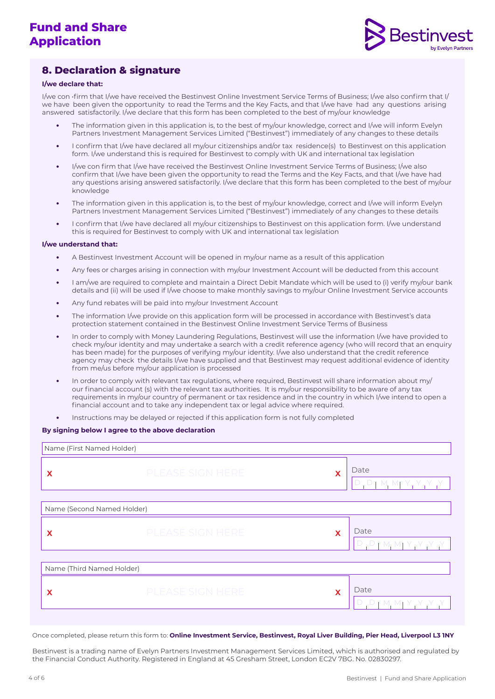

### **8. Declaration & signature**

#### **I/we declare that:**

I/we con •firm that I/we have received the Bestinvest Online Investment Service Terms of Business; I/we also confirm that I/ we have been given the opportunity to read the Terms and the Key Facts, and that I/we have had any questions arising answered satisfactorily. I/we declare that this form has been completed to the best of my/our knowledge

- **•** The information given in this application is, to the best of my/our knowledge, correct and I/we will inform Evelyn Partners Investment Management Services Limited ("Bestinvest") immediately of any changes to these details
- **•** I confirm that I/we have declared all my/our citizenships and/or tax residence(s) to Bestinvest on this application form. I/we understand this is required for Bestinvest to comply with UK and international tax legislation
- **•** I/we con firm that I/we have received the Bestinvest Online Investment Service Terms of Business; I/we also confirm that I/we have been given the opportunity to read the Terms and the Key Facts, and that I/we have had any questions arising answered satisfactorily. I/we declare that this form has been completed to the best of my/our knowledge
- **•** The information given in this application is, to the best of my/our knowledge, correct and I/we will inform Evelyn Partners Investment Management Services Limited ("Bestinvest") immediately of any changes to these details
- **•** I confirm that I/we have declared all my/our citizenships to Bestinvest on this application form. I/we understand this is required for Bestinvest to comply with UK and international tax legislation

#### **I/we understand that:**

- **•** A Bestinvest Investment Account will be opened in my/our name as a result of this application
- **•** Any fees or charges arising in connection with my/our Investment Account will be deducted from this account
- **•** I am/we are required to complete and maintain a Direct Debit Mandate which will be used to (i) verify my/our bank details and (ii) will be used if I/we choose to make monthly savings to my/our Online Investment Service accounts
- **•** Any fund rebates will be paid into my/our Investment Account
- **•** The information I/we provide on this application form will be processed in accordance with Bestinvest's data protection statement contained in the Bestinvest Online Investment Service Terms of Business
- **•** In order to comply with Money Laundering Regulations, Bestinvest will use the information I/we have provided to check my/our identity and may undertake a search with a credit reference agency (who will record that an enquiry has been made) for the purposes of verifying my/our identity. I/we also understand that the credit reference agency may check the details I/we have supplied and that Bestinvest may request additional evidence of identity from me/us before my/our application is processed
- **•** In order to comply with relevant tax regulations, where required, Bestinvest will share information about my/ our financial account (s) with the relevant tax authorities. It is my/our responsibility to be aware of any tax requirements in my/our country of permanent or tax residence and in the country in which I/we intend to open a financial account and to take any independent tax or legal advice where required.
- **•** Instructions may be delayed or rejected if this application form is not fully completed

#### **By signing below I agree to the above declaration**

| Name (First Named Holder)  |                         |   |                                   |  |
|----------------------------|-------------------------|---|-----------------------------------|--|
| X                          | <b>PLEASE SIGN HERE</b> | X | Date<br>$D, D$   M, MJ Y, Y, Y, Y |  |
| Name (Second Named Holder) |                         |   |                                   |  |
| X                          | <b>PLEASE SIGN HERE</b> | X | Date<br>D, D, M, M, Y, Y, Y, Y    |  |
| Name (Third Named Holder)  |                         |   |                                   |  |
| X                          | <b>PLEASE SIGN HERE</b> | X | Date<br>D, D, M, M, Y, Y, Y, Y    |  |

Once completed, please return this form to: **Online Investment Service, Bestinvest, Royal Liver Building, Pier Head, Liverpool L3 1NY** 

Bestinvest is a trading name of Evelyn Partners Investment Management Services Limited, which is authorised and regulated by the Financial Conduct Authority. Registered in England at 45 Gresham Street, London EC2V 7BG. No. 02830297.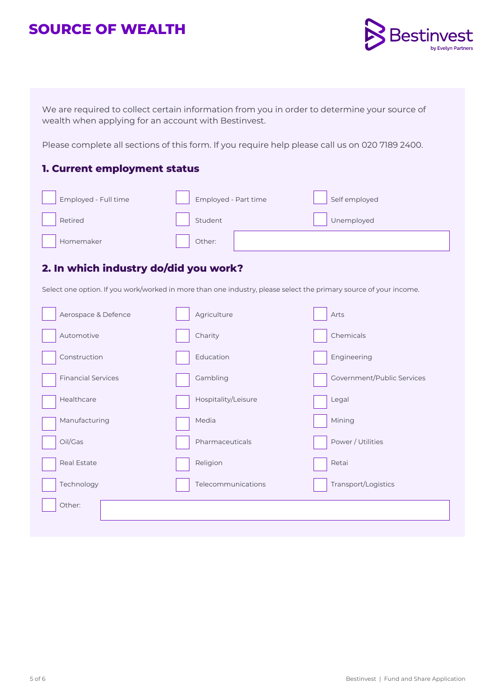# **SOURCE OF WEALTH**



We are required to collect certain information from you in order to determine your source of wealth when applying for an account with Bestinvest.

Please complete all sections of this form. If you require help please call us on 020 7189 2400.

#### **1. Current employment status**

| Employed - Full time | Employed - Part time | Self employed |
|----------------------|----------------------|---------------|
| Retired              | Student              | Unemployed    |
| Homemaker            | Other:               |               |

### **2. In which industry do/did you work?**

Select one option. If you work/worked in more than one industry, please select the primary source of your income.

| Aerospace & Defence       | Agriculture         | Arts                       |
|---------------------------|---------------------|----------------------------|
| Automotive                | Charity             | Chemicals                  |
| Construction              | Education           | Engineering                |
| <b>Financial Services</b> | Gambling            | Government/Public Services |
| Healthcare                | Hospitality/Leisure | Legal                      |
| Manufacturing             | Media               | Mining                     |
| Oil/Gas                   | Pharmaceuticals     | Power / Utilities          |
| Real Estate               | Religion            | Retai                      |
| Technology                | Telecommunications  | Transport/Logistics        |
| Other:                    |                     |                            |